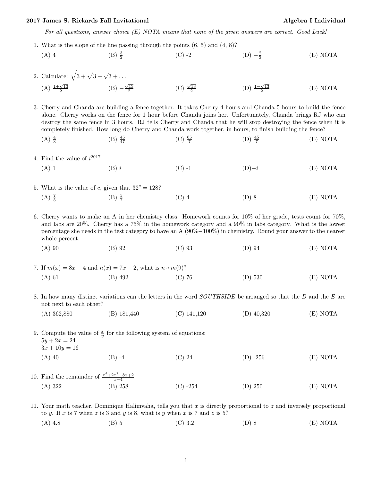## 2017 James S. Rickards Fall Invitational Algebra I Individual

For all questions, answer choice (E) NOTA means that none of the given answers are correct. Good Luck!

1. What is the slope of the line passing through the points (6, 5) and (4, 8)?

(A) 4   
 (B) 
$$
\frac{3}{2}
$$
   
 (C) -2   
 (D)  $-\frac{2}{3}$    
 (E) NOTA

2. Calculate:  $\sqrt{3 + \sqrt{3 + \sqrt{3 + \dots}}}$  $(A) \frac{1+\sqrt{13}}{2}$  $(B) - \frac{\sqrt{13}}{2}$ (C)  $\frac{\sqrt{13}}{2}$ (D)  $\frac{1-\sqrt{13}}{2}$ (E) NOTA

3. Cherry and Chanda are building a fence together. It takes Cherry 4 hours and Chanda 5 hours to build the fence alone. Cherry works on the fence for 1 hour before Chanda joins her. Unfortunately, Chanda brings RJ who can destroy the same fence in 3 hours. RJ tells Cherry and Chanda that he will stop destroying the fence when it is completely finished. How long do Cherry and Chanda work together, in hours, to finish building the fence?

- $(A) \frac{4}{3}$  $(B) \frac{45}{47}$  $\frac{45}{47}$  (C)  $\frac{65}{7}$  $(D) \frac{45}{7}$ (E) NOTA
- 4. Find the value of  $i^{2017}$ 
	- (A) 1 (B) i (C) -1 (D)−i (E) NOTA
- 5. What is the value of c, given that  $32^c = 128$ ?  $(A) \frac{7}{5}$  $(B) \frac{5}{7}$ (C) 4 (D) 8 (E) NOTA

6. Cherry wants to make an A in her chemistry class. Homework counts for 10% of her grade, tests count for 70%, and labs are 20%. Cherry has a 75% in the homework category and a 90% in labs category. What is the lowest percentage she needs in the test category to have an A (90%−100%) in chemistry. Round your answer to the nearest whole percent.

- (A) 90 (B) 92 (C) 93 (D) 94 (E) NOTA
- 7. If  $m(x) = 8x + 4$  and  $n(x) = 7x 2$ , what is  $n \circ m(9)$ ? (A) 61 (B) 492 (C) 76 (D) 530 (E) NOTA
- 8. In how many distinct variations can the letters in the word *SOUTHSIDE* be arranged so that the D and the E are not next to each other?
	- (A) 362,880 (B) 181,440 (C) 141,120 (D) 40,320 (E) NOTA

9. Compute the value of  $\frac{x}{y}$  for the following system of equations:  $5y + 2x = 24$  $3x + 10y = 16$ (A) 40 (B) -4 (C) 24 (D) -256 (E) NOTA

10. Find the remainder of  $\frac{x^4+2x^2-8x+2}{x+4}$ (A) 322 (B) 258 (C) -254 (D) 250 (E) NOTA

11. Your math teacher, Dominique Halimvaha, tells you that x is directly proportional to z and inversely proportional to y. If x is 7 when z is 3 and y is 8, what is y when x is 7 and z is 5?

(A) 4.8 (B) 5 (C) 3.2 (D) 8 (E) NOTA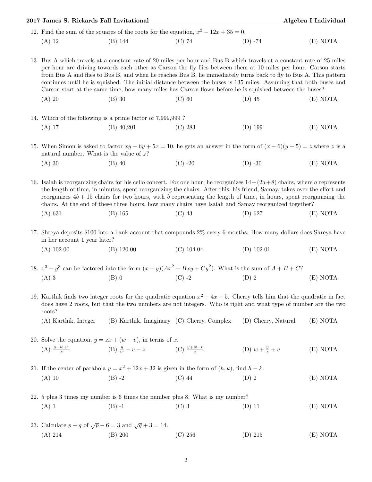| 2017 James S. Rickards Fall Invitational                                              |                                                                                                                        |        |            | Algebra I Individual |  |
|---------------------------------------------------------------------------------------|------------------------------------------------------------------------------------------------------------------------|--------|------------|----------------------|--|
| 12. Find the sum of the squares of the roots for the equation, $x^2 - 12x + 35 = 0$ . |                                                                                                                        |        |            |                      |  |
| (A) 12                                                                                | (B) 144                                                                                                                | (C) 74 | $(D) - 74$ | (E) NOTA             |  |
|                                                                                       | 13. Bus A which travels at a constant rate of 20 miles per hour and Bus B which travels at a constant rate of 25 miles |        |            |                      |  |

per hour are driving towards each other as Carson the fly flies between them at 10 miles per hour. Carson starts from Bus A and flies to Bus B, and when he reaches Bus B, he immediately turns back to fly to Bus A. This pattern continues until he is squished. The initial distance between the buses is 135 miles. Assuming that both buses and Carson start at the same time, how many miles has Carson flown before he is squished between the buses?

- (A) 20 (B) 30 (C) 60 (D) 45 (E) NOTA
- 14. Which of the following is a prime factor of 7,999,999 ? (A) 17 (B) 40,201 (C) 283 (D) 199 (E) NOTA
- 15. When Simon is asked to factor  $xy 6y + 5x = 10$ , he gets an answer in the form of  $(x 6)(y + 5) = z$  where z is a natural number. What is the value of  $z$ ?
	- (A) 30 (B) 40 (C) -20 (D) -30 (E) NOTA

16. Isaiah is reorganizing chairs for his cello concert. For one hour, he reorganizes  $14+(2a+8)$  chairs, where a represents the length of time, in minutes, spent reorganizing the chairs. After this, his friend, Samay, takes over the effort and reorganizes  $4b + 15$  chairs for two hours, with b representing the length of time, in hours, spent reorganizing the chairs. At the end of these three hours, how many chairs have Isaiah and Samay reorganized together?

(A) 631 (B) 165 (C) 43 (D) 627 (E) NOTA

17. Shreya deposits \$100 into a bank account that compounds 2% every 6 months. How many dollars does Shreya have in her account 1 year later?

(A) 102.00 (B) 120.00 (C) 104.04 (D) 102.01 (E) NOTA

18.  $x^3 - y^3$  can be factored into the form  $(x - y)(Ax^2 + Bxy + Cy^2)$ . What is the sum of  $A + B + C$ ? (A) 3 (B) 0 (C) -2 (D) 2 (E) NOTA

19. Karthik finds two integer roots for the quadratic equation  $x^2 + 4x + 5$ . Cherry tells him that the quadratic in fact does have 2 roots, but that the two numbers are not integers. Who is right and what type of number are the two roots?

(A) Karthik, Integer (B) Karthik, Imaginary (C) Cherry, Complex (D) Cherry, Natural (E) NOTA

20. Solve the equation,  $y = zx + (w - v)$ , in terms of x.  $(A) \frac{y-w+v}{z}$ (B)  $\frac{y}{w} - v - z$  (C)  $\frac{y+w-v}{z}$ (D)  $w + \frac{y}{x}$  $(E) NOTA$ 

21. If the center of parabola  $y = x^2 + 12x + 32$  is given in the form of  $(h, k)$ , find  $h - k$ . (A) 10 (B) -2 (C) 44 (D) 2 (E) NOTA

- 22. 5 plus 3 times my number is 6 times the number plus 8. What is my number? (A) 1 (B) -1 (C) 3 (D) 11 (E) NOTA
- 23. Calculate  $p + q$  of  $\sqrt{p} 6 = 3$  and  $\sqrt{q} + 3 = 14$ . (A) 214 (B) 200 (C) 256 (D) 215 (E) NOTA